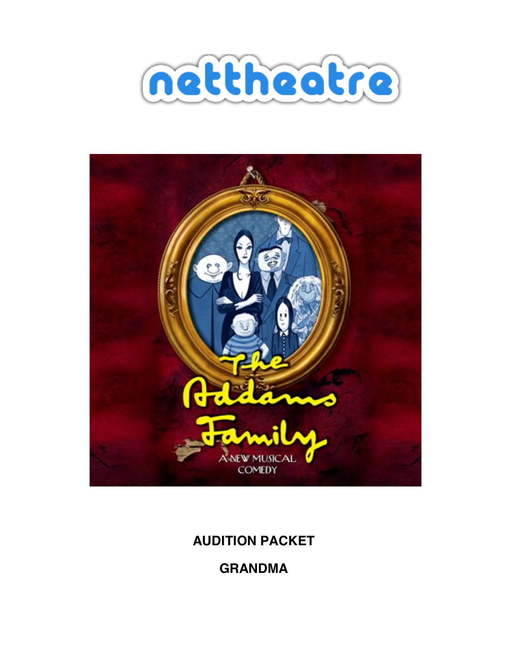



# **AUDITION PACKET**

**GRANDMA**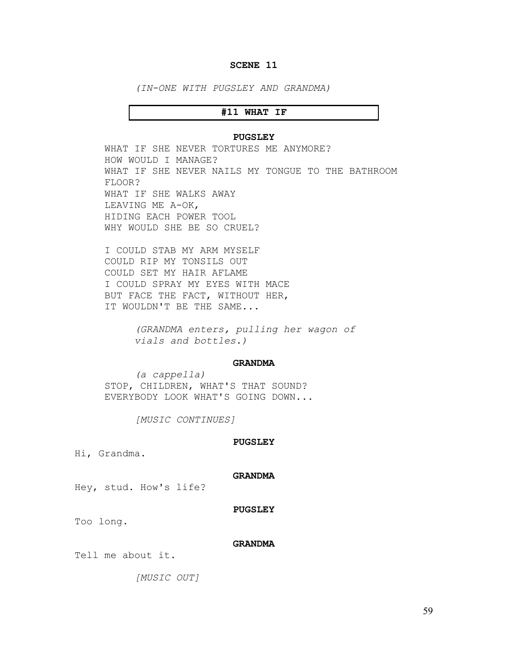# **SCENE 11**

*(IN-ONE WITH PUGSLEY AND GRANDMA)* 

# **#11 WHAT IF**

#### **PUGSLEY**

WHAT IF SHE NEVER TORTURES ME ANYMORE? HOW WOULD I MANAGE? WHAT IF SHE NEVER NAILS MY TONGUE TO THE BATHROOM FLOOR? WHAT IF SHE WALKS AWAY LEAVING ME A-OK, HIDING EACH POWER TOOL WHY WOULD SHE BE SO CRUEL?

I COULD STAB MY ARM MYSELF COULD RIP MY TONSILS OUT COULD SET MY HAIR AFLAME I COULD SPRAY MY EYES WITH MACE BUT FACE THE FACT, WITHOUT HER, IT WOULDN'T BE THE SAME...

> *(GRANDMA enters, pulling her wagon of vials and bottles.)*

### **GRANDMA**

*(a cappella)*  STOP, CHILDREN, WHAT'S THAT SOUND? EVERYBODY LOOK WHAT'S GOING DOWN...

*[MUSIC CONTINUES]* 

#### **PUGSLEY**

Hi, Grandma.

#### **GRANDMA**

Hey, stud. How's life?

#### **PUGSLEY**

Too long.

# **GRANDMA**

Tell me about it.

*[MUSIC OUT]*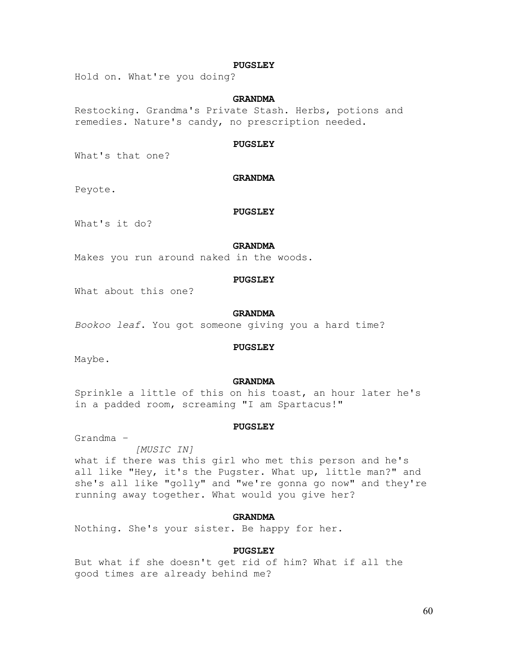# **PUGSLEY**

Hold on. What're you doing?

#### **GRANDMA**

Restocking. Grandma's Private Stash. Herbs, potions and remedies. Nature's candy, no prescription needed.

#### **PUGSLEY**

What's that one?

# **GRANDMA**

Peyote.

# **PUGSLEY**

What's it do?

## **GRANDMA**

Makes you run around naked in the woods.

# **PUGSLEY**

What about this one?

# **GRANDMA**

*Bookoo leaf*. You got someone giving you a hard time?

# **PUGSLEY**

Maybe.

### **GRANDMA**

Sprinkle a little of this on his toast, an hour later he's in a padded room, screaming "I am Spartacus!"

# **PUGSLEY**

Grandma –

*[MUSIC IN]* 

what if there was this girl who met this person and he's all like "Hey, it's the Pugster. What up, little man?" and she's all like "golly" and "we're gonna go now" and they're running away together. What would you give her?

# **GRANDMA**

Nothing. She's your sister. Be happy for her.

# **PUGSLEY**

But what if she doesn't get rid of him? What if all the good times are already behind me?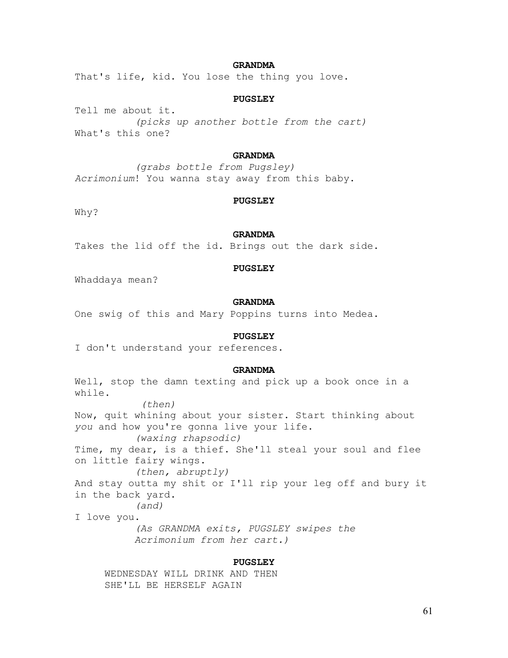# **GRANDMA**

That's life, kid. You lose the thing you love.

# **PUGSLEY**

Tell me about it. *(picks up another bottle from the cart)*  What's this one?

# **GRANDMA**

*(grabs bottle from Pugsley) Acrimonium*! You wanna stay away from this baby.

# **PUGSLEY**

Why?

# **GRANDMA**

Takes the lid off the id. Brings out the dark side.

# **PUGSLEY**

Whaddaya mean?

# **GRANDMA**

One swig of this and Mary Poppins turns into Medea.

# **PUGSLEY**

I don't understand your references.

# **GRANDMA**

Well, stop the damn texting and pick up a book once in a while.

 *(then)* 

Now, quit whining about your sister. Start thinking about *you* and how you're gonna live your life.

*(waxing rhapsodic)* 

Time, my dear, is a thief. She'll steal your soul and flee on little fairy wings.

*(then, abruptly)* 

And stay outta my shit or I'll rip your leg off and bury it in the back yard.

*(and)*  I love you.

*(As GRANDMA exits, PUGSLEY swipes the Acrimonium from her cart.)* 

## **PUGSLEY**

WEDNESDAY WILL DRINK AND THEN SHE'LL BE HERSELF AGAIN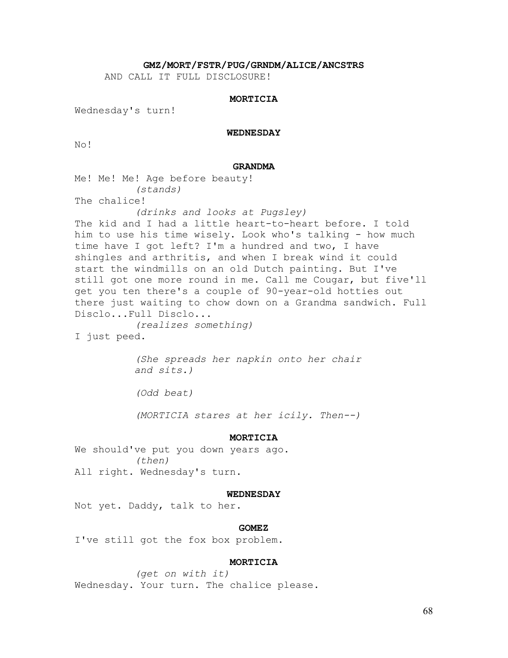# **GMZ/MORT/FSTR/PUG/GRNDM/ALICE/ANCSTRS**

AND CALL IT FULL DISCLOSURE!

# **MORTICIA**

Wednesday's turn!

# **WEDNESDAY**

No!

### **GRANDMA**

Me! Me! Me! Age before beauty! *(stands)* 

The chalice!

*(drinks and looks at Pugsley)*  The kid and I had a little heart-to-heart before. I told him to use his time wisely. Look who's talking - how much time have I got left? I'm a hundred and two, I have shingles and arthritis, and when I break wind it could start the windmills on an old Dutch painting. But I've still got one more round in me. Call me Cougar, but five'll get you ten there's a couple of 90-year-old hotties out there just waiting to chow down on a Grandma sandwich. Full Disclo...Full Disclo...

*(realizes something)*  I just peed.

> *(She spreads her napkin onto her chair and sits.)*

*(Odd beat)* 

*(MORTICIA stares at her icily. Then--)* 

## **MORTICIA**

We should've put you down years ago. *(then)*  All right. Wednesday's turn.

### **WEDNESDAY**

Not yet. Daddy, talk to her.

#### **GOMEZ**

I've still got the fox box problem.

# **MORTICIA**

*(get on with it)*  Wednesday. Your turn. The chalice please.